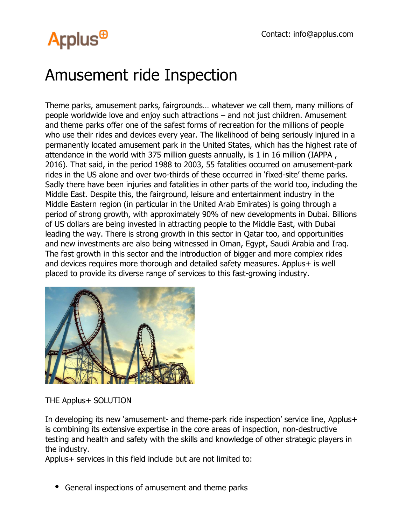# **Arplus<sup>®</sup>**

### Amusement ride Inspection

Theme parks, amusement parks, fairgrounds… whatever we call them, many millions of people worldwide love and enjoy such attractions – and not just children. Amusement and theme parks offer one of the safest forms of recreation for the millions of people who use their rides and devices every year. The likelihood of being seriously injured in a permanently located amusement park in the United States, which has the highest rate of attendance in the world with 375 million guests annually, is 1 in 16 million (IAPPA , 2016). That said, in the period 1988 to 2003, 55 fatalities occurred on amusement-park rides in the US alone and over two-thirds of these occurred in 'fixed-site' theme parks. Sadly there have been injuries and fatalities in other parts of the world too, including the Middle East. Despite this, the fairground, leisure and entertainment industry in the Middle Eastern region (in particular in the United Arab Emirates) is going through a period of strong growth, with approximately 90% of new developments in Dubai. Billions of US dollars are being invested in attracting people to the Middle East, with Dubai leading the way. There is strong growth in this sector in Qatar too, and opportunities and new investments are also being witnessed in Oman, Egypt, Saudi Arabia and Iraq. The fast growth in this sector and the introduction of bigger and more complex rides and devices requires more thorough and detailed safety measures. Applus+ is well placed to provide its diverse range of services to this fast-growing industry.



THE Applus+ SOLUTION

In developing its new 'amusement- and theme-park ride inspection' service line, Applus+ is combining its extensive expertise in the core areas of inspection, non-destructive testing and health and safety with the skills and knowledge of other strategic players in the industry.

Applus+ services in this field include but are not limited to:

General inspections of amusement and theme parks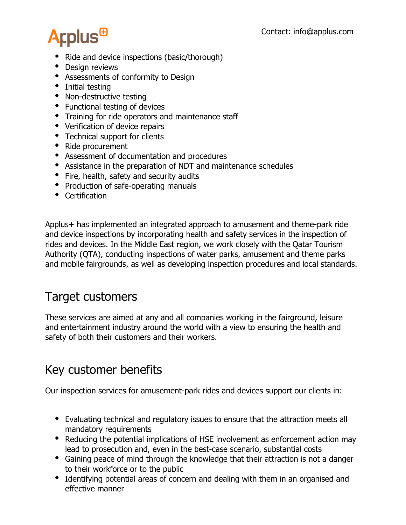# **Arplus<sup>®</sup>**

- Ride and device inspections (basic/thorough)
- Design reviews
- Assessments of conformity to Design
- Initial testing
- Non-destructive testing
- Functional testing of devices
- Training for ride operators and maintenance staff
- Verification of device repairs
- Technical support for clients
- Ride procurement
- Assessment of documentation and procedures
- Assistance in the preparation of NDT and maintenance schedules
- Fire, health, safety and security audits
- Production of safe-operating manuals
- Certification

Applus+ has implemented an integrated approach to amusement and theme-park ride and device inspections by incorporating health and safety services in the inspection of rides and devices. In the Middle East region, we work closely with the Qatar Tourism Authority (QTA), conducting inspections of water parks, amusement and theme parks and mobile fairgrounds, as well as developing inspection procedures and local standards.

#### Target customers

These services are aimed at any and all companies working in the fairground, leisure and entertainment industry around the world with a view to ensuring the health and safety of both their customers and their workers.

#### Key customer benefits

Our inspection services for amusement-park rides and devices support our clients in:

- Evaluating technical and regulatory issues to ensure that the attraction meets all mandatory requirements
- Reducing the potential implications of HSE involvement as enforcement action may lead to prosecution and, even in the best-case scenario, substantial costs
- Gaining peace of mind through the knowledge that their attraction is not a danger to their workforce or to the public
- Identifying potential areas of concern and dealing with them in an organised and effective manner